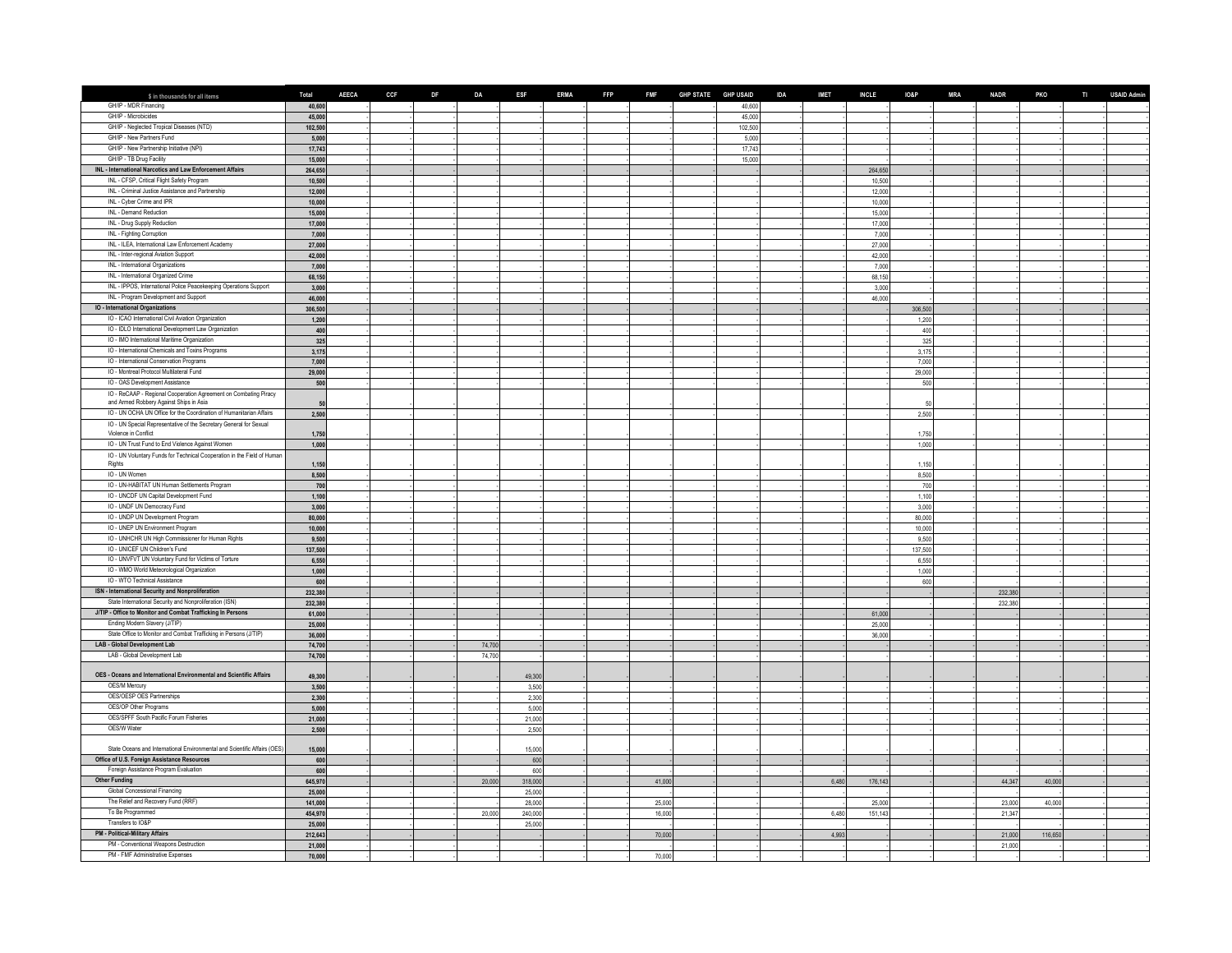| \$ in thousands for all items                                                        | Total             | <b>AEECA</b> | <b>CCF</b> | <b>DF</b> | <b>DA</b>        | <b>ESF</b> | <b>ERMA</b> | <b>FFP</b> |        | FMF GHP STATE GHP USAID |                  | <b>IDA</b> | <b>IMET</b> | <b>INCLE</b>    | <b>IO&amp;P</b>  | <b>MRA</b> | <b>NADR</b>      | <b>PKO</b> | TI USAID Admin |
|--------------------------------------------------------------------------------------|-------------------|--------------|------------|-----------|------------------|------------|-------------|------------|--------|-------------------------|------------------|------------|-------------|-----------------|------------------|------------|------------------|------------|----------------|
| GH/IP - MDR Financing                                                                | 40.600            |              |            |           |                  |            |             |            |        |                         | 40,600           |            |             |                 |                  |            |                  |            |                |
| GH/IP - Microbicides                                                                 | 45,00             |              |            |           |                  |            |             |            |        |                         | 45,000           |            |             |                 |                  |            |                  |            |                |
| GH/IP - Neglected Tropical Diseases (NTD)                                            | 102,500           |              |            |           |                  |            |             |            |        |                         | 102,500          |            |             |                 |                  |            |                  |            |                |
| GH/IP - New Partners Fund                                                            | 5,000             |              |            |           |                  |            |             |            |        |                         | 5,000            |            |             |                 |                  |            |                  |            |                |
| GH/IP - New Partnership Initiative (NPI)<br>GH/IP - TB Drug Facility                 | 17,743<br>15,000  |              |            |           |                  |            |             |            |        |                         | 17,743<br>15,000 |            |             |                 |                  |            |                  |            |                |
| INL - International Narcotics and Law Enforcement Affairs                            | 264,650           |              |            |           |                  |            |             |            |        |                         |                  |            |             | 264,65          |                  |            |                  |            |                |
| INL - CFSP, Critical Flight Safety Program                                           | 10,500            |              |            |           |                  |            |             |            |        |                         |                  |            |             | 10,500          |                  |            |                  |            |                |
| INL - Criminal Justice Assistance and Partnership                                    | 12,000            |              |            |           |                  |            |             |            |        |                         |                  |            |             | 12,000          |                  |            |                  |            |                |
| INL - Cyber Crime and IPR                                                            | 10,000            |              |            |           |                  |            |             |            |        |                         |                  |            |             | 10,000          |                  |            |                  |            |                |
| INL - Demand Reduction                                                               | 15,00             |              |            |           |                  |            |             |            |        |                         |                  |            |             | 15,000          |                  |            |                  |            |                |
| INL - Drug Supply Reduction                                                          | 17,000            |              |            |           |                  |            |             |            |        |                         |                  |            |             | 17,000          |                  |            |                  |            |                |
| INL - Fighting Corruption                                                            | 7,00              |              |            |           |                  |            |             |            |        |                         |                  |            |             | 7,000           |                  |            |                  |            |                |
| INL - ILEA, International Law Enforcement Academy                                    | 27,00             |              |            |           |                  |            |             |            |        |                         |                  |            |             | 27,000          |                  |            |                  |            |                |
| INL - Inter-regional Aviation Support<br>INL - International Organizations           | 42,00<br>7,000    |              |            |           |                  |            |             |            |        |                         |                  |            |             | 42,000<br>7,000 |                  |            |                  |            |                |
| INL - International Organized Crime                                                  | 68,150            |              |            |           |                  |            |             |            |        |                         |                  |            |             | 68,150          |                  |            |                  |            |                |
| INL - IPPOS, International Police Peacekeeping Operations Support                    | 3,000             |              |            |           |                  |            |             |            |        |                         |                  |            |             | 3,000           |                  |            |                  |            |                |
| INL - Program Development and Support                                                | 46,000            |              |            |           |                  |            |             |            |        |                         |                  |            |             | 46,000          |                  |            |                  |            |                |
| IO - International Organizations                                                     | 306,500           |              |            |           |                  |            |             |            |        |                         |                  |            |             |                 | 306,500          |            |                  |            |                |
| IO - ICAO International Civil Aviation Organization                                  | 1,200             |              |            |           |                  |            |             |            |        |                         |                  |            |             |                 | 1,200            |            |                  |            |                |
| IO - IDLO International Development Law Organization                                 | 400               |              |            |           |                  |            |             |            |        |                         |                  |            |             |                 | 400              |            |                  |            |                |
| IO - IMO International Maritime Organization                                         | 325               |              |            |           |                  |            |             |            |        |                         |                  |            |             |                 | 325              |            |                  |            |                |
| IO - International Chemicals and Toxins Programs                                     | 3,175             |              |            |           |                  |            |             |            |        |                         |                  |            |             |                 | 3,175            |            |                  |            |                |
| IO - International Conservation Programs<br>IO - Montreal Protocol Multilateral Fund | 7,000             |              |            |           |                  |            |             |            |        |                         |                  |            |             |                 | 7,000            |            |                  |            |                |
| IO - OAS Development Assistance                                                      | 29,000<br>500     |              |            |           |                  |            |             |            |        |                         |                  |            |             |                 | 29,000<br>500    |            |                  |            |                |
| IO - ReCAAP - Regional Cooperation Agreement on Combating Piracy                     |                   |              |            |           |                  |            |             |            |        |                         |                  |            |             |                 |                  |            |                  |            |                |
| and Armed Robbery Against Ships in Asia                                              |                   |              |            |           |                  |            |             |            |        |                         |                  |            |             |                 |                  |            |                  |            |                |
| IO - UN OCHA UN Office for the Coordination of Humanitarian Affairs                  | 2,500             |              |            |           |                  |            |             |            |        |                         |                  |            |             |                 | 2,500            |            |                  |            |                |
| IO - UN Special Representative of the Secretary General for Sexual                   |                   |              |            |           |                  |            |             |            |        |                         |                  |            |             |                 |                  |            |                  |            |                |
| Violence in Conflict                                                                 | 1,750             |              |            |           |                  |            |             |            |        |                         |                  |            |             |                 | 1.750            |            |                  |            |                |
| IO - UN Trust Fund to End Violence Against Women                                     | 1,000             |              |            |           |                  |            |             |            |        |                         |                  |            |             |                 | 1,000            |            |                  |            |                |
| IO - UN Voluntary Funds for Technical Cooperation in the Field of Human<br>Rights    | 1,150             |              |            |           |                  |            |             |            |        |                         |                  |            |             |                 | 1.150            |            |                  |            |                |
| IO - UN Women                                                                        | 8,500             |              |            |           |                  |            |             |            |        |                         |                  |            |             |                 | 8,500            |            |                  |            |                |
| IO - UN-HABITAT UN Human Settlements Program                                         | 700               |              |            |           |                  |            |             |            |        |                         |                  |            |             |                 | 700              |            |                  |            |                |
| IO - UNCDF UN Capital Development Fund                                               | 1,100             |              |            |           |                  |            |             |            |        |                         |                  |            |             |                 | 1,100            |            |                  |            |                |
| IO - UNDF UN Democracy Fund                                                          | 3,000             |              |            |           |                  |            |             |            |        |                         |                  |            |             |                 | 3,000            |            |                  |            |                |
| IO - UNDP UN Development Program                                                     | 80,000            |              |            |           |                  |            |             |            |        |                         |                  |            |             |                 | 80,000           |            |                  |            |                |
| IO - UNEP UN Environment Program                                                     | 10,000            |              |            |           |                  |            |             |            |        |                         |                  |            |             |                 | 10,000           |            |                  |            |                |
| IO - UNHCHR UN High Commissioner for Human Rights<br>IO - UNICEF UN Children's Fund  | 9,500<br>137,500  |              |            |           |                  |            |             |            |        |                         |                  |            |             |                 | 9.500<br>137,500 |            |                  |            |                |
| IO - UNVFVT UN Voluntary Fund for Victims of Torture                                 | 6,550             |              |            |           |                  |            |             |            |        |                         |                  |            |             |                 | 6,550            |            |                  |            |                |
| IO - WMO World Meteorological Organization                                           | 1,000             |              |            |           |                  |            |             |            |        |                         |                  |            |             |                 | 1,000            |            |                  |            |                |
| IO - WTO Technical Assistance                                                        | 601               |              |            |           |                  |            |             |            |        |                         |                  |            |             |                 | 600              |            |                  |            |                |
| ISN - International Security and Nonproliferation                                    | 232,38            |              |            |           |                  |            |             |            |        |                         |                  |            |             |                 |                  |            | 232,38           |            |                |
| State International Security and Nonproliferation (ISN)                              | 232,38            |              |            |           |                  |            |             |            |        |                         |                  |            |             |                 |                  |            | 232,380          |            |                |
| J/TIP - Office to Monitor and Combat Trafficking In Persons                          | 61,00             |              |            |           |                  |            |             |            |        |                         |                  |            |             | 61,000          |                  |            |                  |            |                |
| Ending Modern Slavery (J/TIP)                                                        | 25,00             |              |            |           |                  |            |             |            |        |                         |                  |            |             | 25,000          |                  |            |                  |            |                |
| State Office to Monitor and Combat Trafficking in Persons (J/TIP)                    | 36,00             |              |            |           |                  |            |             |            |        |                         |                  |            |             | 36,000          |                  |            |                  |            |                |
| LAB - Global Development Lab<br>LAB - Global Development Lab                         | 74,70<br>74,700   |              |            |           | 74,700<br>74,700 |            |             |            |        |                         |                  |            |             |                 |                  |            |                  |            |                |
|                                                                                      |                   |              |            |           |                  |            |             |            |        |                         |                  |            |             |                 |                  |            |                  |            |                |
| OES - Oceans and International Environmental and Scientific Affairs                  | 49,30             |              |            |           |                  | 49,300     |             |            |        |                         |                  |            |             |                 |                  |            |                  |            |                |
| OES/M Mercury                                                                        | 3,500             |              |            |           |                  | 3,500      |             |            |        |                         |                  |            |             |                 |                  |            |                  |            |                |
| OES/OESP OES Partnerships                                                            | 2,300             |              |            |           |                  | 2,300      |             |            |        |                         |                  |            |             |                 |                  |            |                  |            |                |
| OES/OP Other Programs                                                                | 5,000             |              |            |           |                  | 5.000      |             |            |        |                         |                  |            |             |                 |                  |            |                  |            |                |
| OES/SPFF South Pacific Forum Fisheries                                               | 21,000            |              |            |           |                  | 21,000     |             |            |        |                         |                  |            |             |                 |                  |            |                  |            |                |
| OES/W Water                                                                          | 2,500             |              |            |           |                  | 2,500      |             |            |        |                         |                  |            |             |                 |                  |            |                  |            |                |
| State Oceans and International Environmental and Scientific Affairs (OES)            | 15,000            |              |            |           |                  | 15,000     |             |            |        |                         |                  |            |             |                 |                  |            |                  |            |                |
| Office of U.S. Foreign Assistance Resources                                          | 600               |              |            |           |                  | 600        |             |            |        |                         |                  |            |             |                 |                  |            |                  |            |                |
| Foreign Assistance Program Evaluation                                                | 600               |              |            |           |                  | 600        |             |            |        |                         |                  |            |             |                 |                  |            |                  |            |                |
| <b>Other Funding</b>                                                                 | 645,970           |              |            |           | 20,000           | 318,000    |             |            | 41,000 |                         |                  |            | 6,480       | 176,143         |                  |            | 44,347           | 40,000     |                |
| Global Concessional Financing                                                        | 25,000            |              |            |           |                  | 25,000     |             |            |        |                         |                  |            |             |                 |                  |            |                  |            |                |
| The Relief and Recovery Fund (RRF)                                                   | 141,000           |              |            |           |                  | 28,000     |             |            | 25,000 |                         |                  |            |             | 25,000          |                  |            | 23,000           | 40,000     |                |
| To Be Programmed                                                                     | 454,970           |              |            |           | 20,000           | 240,000    |             |            | 16,000 |                         |                  |            | 6480        | 151,143         |                  |            | 21,347           |            |                |
| Transfers to IO&P                                                                    | 25,000            |              |            |           |                  | 25,000     |             |            |        |                         |                  |            |             |                 |                  |            |                  |            |                |
| PM - Political-Military Affairs<br>PM - Conventional Weapons Destruction             | 212,643<br>21,000 |              |            |           |                  |            |             |            | 70,000 |                         |                  |            | 4,993       |                 |                  |            | 21,000<br>21,000 | 116,650    |                |
| PM - FMF Administrative Expenses                                                     | 70,000            |              |            |           |                  |            |             |            | 70,000 |                         |                  |            |             |                 |                  |            |                  |            |                |
|                                                                                      |                   |              |            |           |                  |            |             |            |        |                         |                  |            |             |                 |                  |            |                  |            |                |